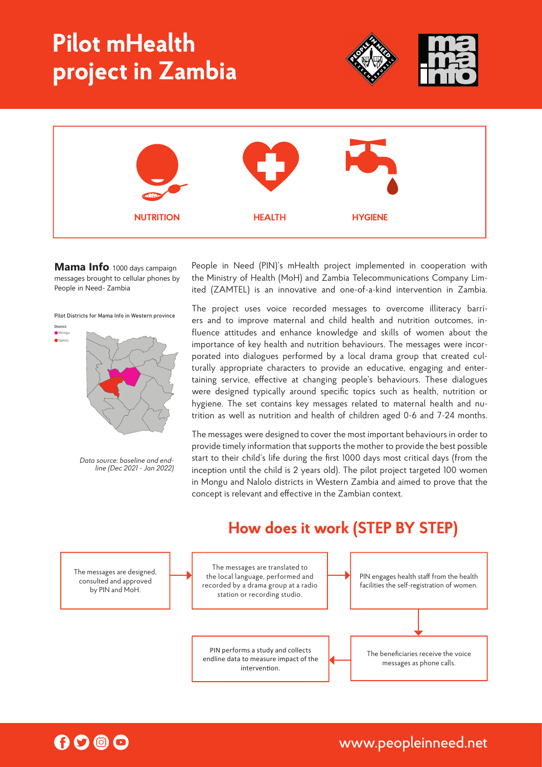# **Pilot mHealth project in Zambia**





**Mama Info**- <sup>1000</sup> days campaign messages brought to cellular phones by People in Need- Zambia

Pilot Districts for Mama Info in Western province

**District** Mongu Nalolo



data source: baseline and endline study (Dec 2021- Jan 2022) *Data source: baseline and endline (Dec 2021 - Jan 2022)*

People in Need (PIN)'s mHealth project implemented in cooperation with the Ministry of Health (MoH) and Zambia Telecommunications Company Limited (ZAMTEL) is an innovative and one-of-a-kind intervention in Zambia.

The project uses voice recorded messages to overcome illiteracy barridesigned typically around specific topics such as healt taining service, effective at changing people's behaviours. These dialogues  $\overline{a}$ porated into dialogues performed by a local drama group that created culfluence attitudes and enhance knowledge and skills of women about the hygiene. The set contains key messages related to maternal health and nuition as well as nutrition and health of children aged 0-6 and 7-24 months. importance of key health and nutrition behaviours. The messages were incorers and to improve maternal and child health and nutrition outcomes, inturally appropriate characters to provide an educative, engaging and enterwere designed typically around specific topics such as health, nutrition or

inception until the child is 2 years old). The pilot project targeted 100 women provide timely information that supports the mother to provide the best possible The messages were designed to cover the most important behaviours in order to in Mongu and Nalolo districts in Western Zambia and aimed to prove that the start to their child's life during the first 1000 days most critical days (from the concept is relevant and effective in the Zambian context.

#### The messages are designed, consulted and approved by PIN and MoH. PIN performs a study and collects endline data to measure impact of the intervention The messages are translated to the local language, performed and recorded by a drama group at a radio station or recording studio. The beneficiaries receive the voice messages as phone calls. PIN engages health staff from the health facilities the self-registration of women.

### **How does it work (STEP BY STEP)**



www.peopleinneed.net